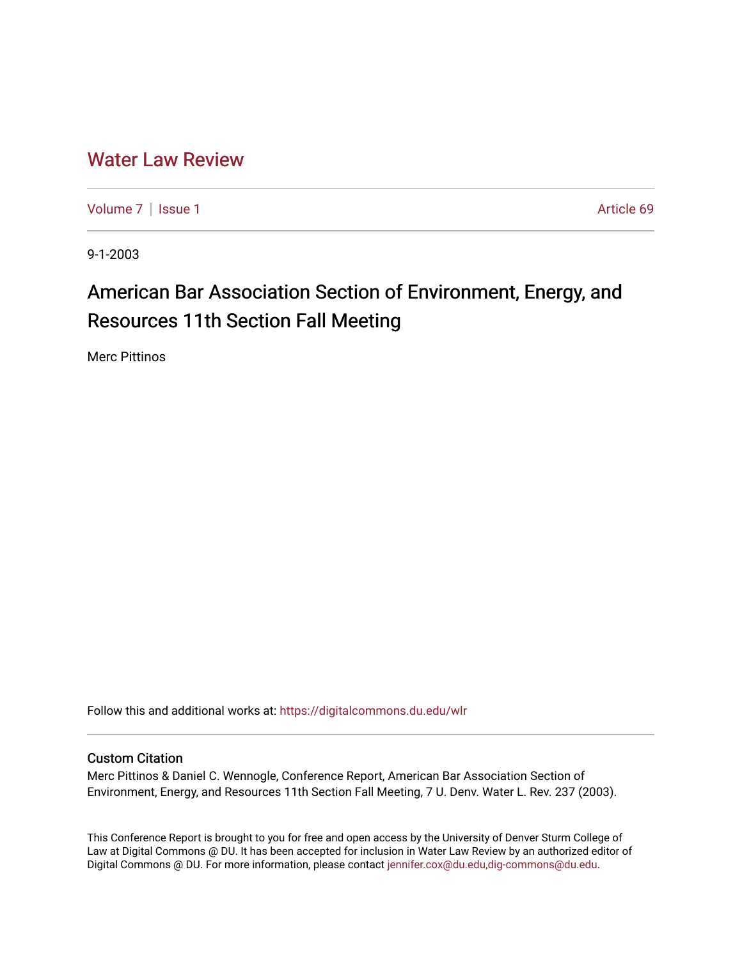# [Water Law Review](https://digitalcommons.du.edu/wlr)

[Volume 7](https://digitalcommons.du.edu/wlr/vol7) | [Issue 1](https://digitalcommons.du.edu/wlr/vol7/iss1) Article 69

9-1-2003

# American Bar Association Section of Environment, Energy, and Resources 11th Section Fall Meeting

Merc Pittinos

Follow this and additional works at: [https://digitalcommons.du.edu/wlr](https://digitalcommons.du.edu/wlr?utm_source=digitalcommons.du.edu%2Fwlr%2Fvol7%2Fiss1%2F69&utm_medium=PDF&utm_campaign=PDFCoverPages) 

# Custom Citation

Merc Pittinos & Daniel C. Wennogle, Conference Report, American Bar Association Section of Environment, Energy, and Resources 11th Section Fall Meeting, 7 U. Denv. Water L. Rev. 237 (2003).

This Conference Report is brought to you for free and open access by the University of Denver Sturm College of Law at Digital Commons @ DU. It has been accepted for inclusion in Water Law Review by an authorized editor of Digital Commons @ DU. For more information, please contact [jennifer.cox@du.edu,dig-commons@du.edu](mailto:jennifer.cox@du.edu,dig-commons@du.edu).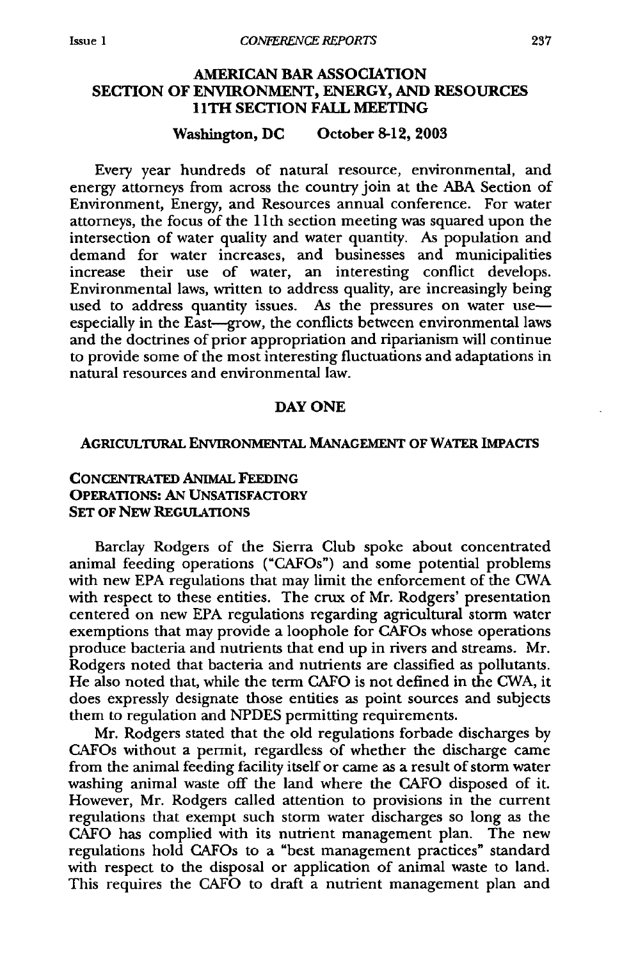# **AMERICAN BAR ASSOCIATION SECTION OF ENVIRONMENT, ENERGY, AND RESOURCES 1 ITH SECTION FALL MEETING**

#### **Washington, DC October 8-12, 2003**

Every year hundreds of natural resource, environmental, and energy attorneys from across the country join at the ABA Section of Environment, Energy, and Resources annual conference. For water attorneys, the focus of the 11th section meeting was squared upon the intersection of water quality and water quantity. As population and demand for water increases, and businesses and municipalities increase their use of water, an interesting conflict develops. Environmental laws, written to address quality, are increasingly being used to address quantity issues. As the pressures on water useespecially in the East-grow, the conflicts between environmental laws and the doctrines of prior appropriation and riparianism will continue to provide some of the most interesting fluctuations and adaptations in natural resources and environmental law.

#### **DAY ONE**

#### **AGRICuLTuRAL ENVIRONMENTAL MANAGEMENT OF WATER IMPACTS**

# **CONCENTRATED ANIMAL FEEDING OPERATIONS: AN UNSATISFACTORY SET OF NEW REGULATIONS**

Barclay Rodgers of the Sierra Club spoke about concentrated animal feeding operations ("CAFOs") and some potential problems with new EPA regulations that may limit the enforcement of the CWA with respect to these entities. The crux of Mr. Rodgers' presentation centered on new EPA regulations regarding agricultural storm water exemptions that may provide a loophole for CAFOs whose operations produce bacteria and nutrients that end up in rivers and streams. Mr. Rodgers noted that bacteria and nutrients are classified as pollutants. He also noted that, while the term CAFO is not defined in the CWA, it does expressly designate those entities as point sources and subjects them to regulation and NPDES permitting requirements.

Mr. Rodgers stated that the old regulations forbade discharges by CAFOs without a permit, regardless of whether the discharge came from the animal feeding facility itself or came as a result of storm water washing animal waste off the land where the CAFO disposed of it. However, Mr. Rodgers called attention to provisions in the current regulations that exempt such storm water discharges so long as the CAFO has complied with its nutrient management plan. The new regulations hold CAFOs to a "best management practices" standard with respect to the disposal or application of animal waste to land. This requires the CAFO to draft a nutrient management plan and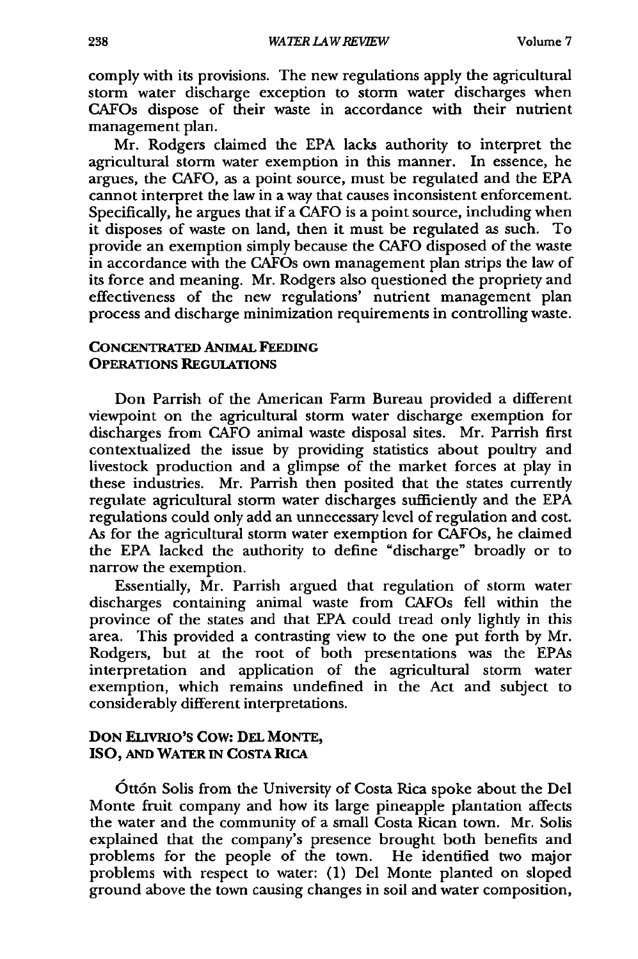comply with its provisions. The new regulations apply the agricultural storm water discharge exception to storm water discharges when CAFOs dispose of their waste in accordance with their nutrient management plan.

Mr. Rodgers claimed the **EPA** lacks authority to interpret the agricultural storm water exemption in this manner. In essence, he argues, the **CAFO,** as a point source, must be regulated and the **EPA** cannot interpret the law in a way that causes inconsistent enforcement. Specifically, he argues that if a **CAFO** is a point source, including when it disposes of waste on land, then it must be regulated as such. To provide an exemption simply because the **CAFO** disposed of the waste in accordance with the CAFOs own management plan strips the law of its force and meaning. Mr. Rodgers also questioned the propriety and effectiveness of the new regulations' nutrient management plan process and discharge minimization requirements in controlling waste.

#### **CONCENTRATED ANIMAL FEEDING OPERATIONS REGUIATIONS**

Don Parrish of the American Farm Bureau provided a different viewpoint on the agricultural storm water discharge exemption for discharges from CAFO animal waste disposal sites. Mr. Parrish first contextualized the issue by providing statistics about poultry and livestock production and a glimpse of the market forces at play in these industries. Mr. Parrish then posited that the states currently regulate agricultural storm water discharges sufficiently and the EPA regulations could only add an unnecessary level of regulation and cost. As for the agricultural storm water exemption for CAFOs, he claimed the EPA lacked the authority to define "discharge" broadly or to narrow the exemption.

Essentially, Mr. Parrish argued that regulation of storm water discharges containing animal waste from CAFOs fell within the province of the states and that EPA could tread only lightly in this area. This provided a contrasting view to the one put forth by Mr. Rodgers, but at the root of both presentations was the EPAs interpretation and application of the agricultural storm water exemption, which remains undefined in the Act and subject to considerably different interpretations.

#### **DON ELIvRIO'S** Cow: **DEL MONTE, ISO, AND WATER IN COSTA RICA**

Ott6n Solis from the University of Costa Rica spoke about the **Del** Monte fruit company and how its large pineapple plantation affects the water and the community of a small Costa Rican town. Mr. Solis explained that the company's presence brought both benefits and problems for the people of the town. He identified two major problems with respect to water: (1) Del Monte planted on sloped ground above the town causing changes in soil and water composition,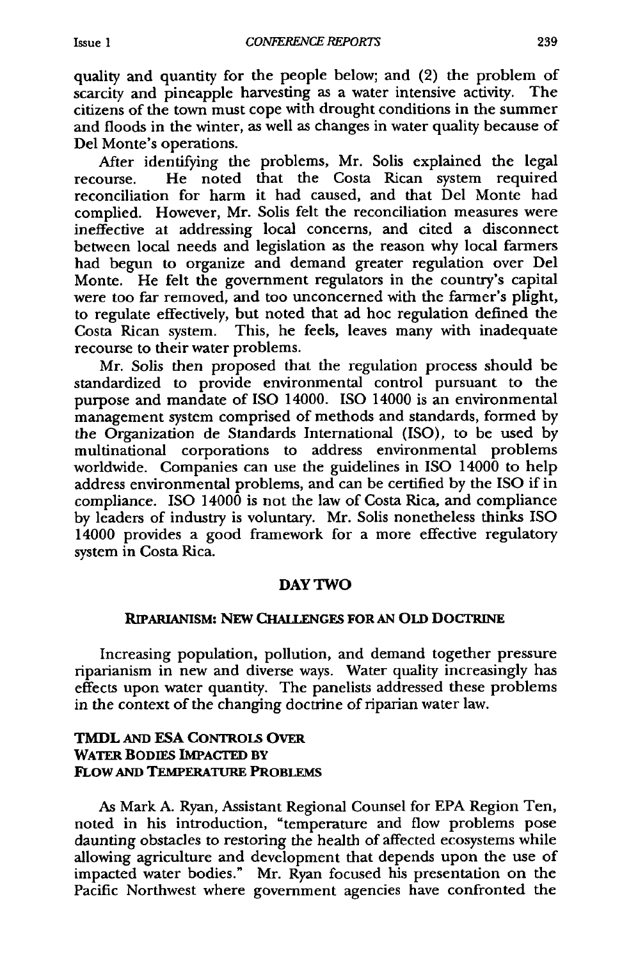quality and quantity for the people below; and (2) the problem of scarcity and pineapple harvesting as a water intensive activity. The citizens of the town must cope with drought conditions in the summer and floods in the winter, as well as changes in water quality because of Del Monte's operations.

After identifying the problems, Mr. Solis explained the legal recourse. He noted that the Costa Rican system required reconciliation for harm it had caused, and that Del Monte had complied. However, Mr. Solis felt the reconciliation measures were ineffective at addressing local concerns, and cited a disconnect between local needs and legislation as the reason why local farmers had begun to organize and demand greater regulation over Del Monte. He felt the government regulators in the country's capital were too far removed, and too unconcerned with the farmer's plight, to regulate effectively, but noted that ad hoc regulation defined the Costa Rican system. This, he feels, leaves many with inadequate recourse to their water problems.

Mr. Solis then proposed that the regulation process should be standardized to provide environmental control pursuant to the purpose and mandate of ISO 14000. **ISO** 14000 is an environmental management system comprised of methods and standards, formed by the Organization de Standards International (ISO), to be used by multinational corporations to address environmental problems worldwide. Companies can use the guidelines in ISO 14000 to help address environmental problems, and can be certified by the ISO if in compliance. ISO 14000 is not the law of Costa Rica, and compliance by leaders of industry is voluntary. Mr. Solis nonetheless thinks ISO 14000 provides a good framework for a more effective regulatory system in Costa Rica.

#### **DAY TWO**

#### **RIPARLANISM:** NEW **CHALLENGES FOR AN OLD** DOCTRINE

Increasing population, pollution, and demand together pressure riparianism in new and diverse ways. Water quality increasingly has effects upon water quantity. The panelists addressed these problems in the context of the changing doctrine of riparian water law.

#### **TMDL AND ESA CONTRoLS OVER WATER BODIES IMPACTED BY FLOW AND TEMPERATURE PROBLEMS**

As Mark **A.** Ryan, Assistant Regional Counsel for EPA Region Ten, noted in his introduction, "temperature and flow problems pose daunting obstacles to restoring the health of affected ecosystems while allowing agriculture and development that depends upon the use of impacted water bodies." Mr. Ryan focused his presentation on the Pacific Northwest where government agencies have confronted the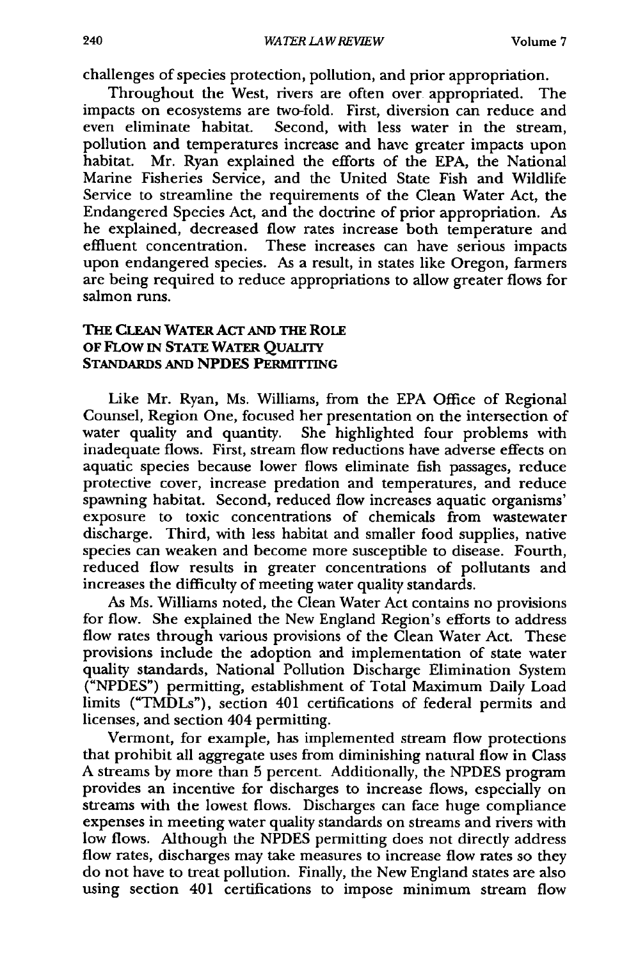challenges of species protection, pollution, and prior appropriation.

Throughout the West, rivers are often over appropriated. The impacts on ecosystems are two-fold. First, diversion can reduce and even eliminate habitat. Second, with less water in the stream, pollution and temperatures increase and have greater impacts upon habitat. Mr. Ryan explained the efforts of the EPA, the National Marine Fisheries Service, and the United State Fish and Wildlife Service to streamline the requirements of the Clean Water Act, the Endangered Species Act, and the doctrine of prior appropriation. As he explained, decreased flow rates increase both temperature and effluent concentration. These increases can have serious impacts upon endangered species. As a result, in states like Oregon, farmers are being required to reduce appropriations to allow greater flows for salmon runs.

# **THE CLEAN WATER ACT AND THE ROLE OF** FLOW IN **STATE** WATER **QUALITY** STANDARDS **AND NPDES PERMITTING**

Like Mr. Ryan, Ms. Williams, from the **EPA** Office of Regional Counsel, Region One, focused her presentation on the intersection of water quality and quantity. She highlighted four problems with inadequate flows. First, stream flow reductions have adverse effects on aquatic species because lower flows eliminate fish passages, reduce protective cover, increase predation and temperatures, and reduce spawning habitat. Second, reduced flow increases aquatic organisms' exposure to toxic concentrations of chemicals from wastewater discharge. Third, with less habitat and smaller food supplies, native species can weaken and become more susceptible to disease. Fourth, reduced flow results in greater concentrations of pollutants and increases the difficulty of meeting water quality standards.

As Ms. Williams noted, the Clean Water Act contains no provisions for flow. She explained the New England Region's efforts to address flow rates through various provisions of the Clean Water Act. These provisions include the adoption and implementation of state water quality standards, National Pollution Discharge Elimination System ("NPDES") permitting, establishment of Total Maximum Daily Load limits ("TMDLs"), section 401 certifications of federal permits and licenses, and section 404 permitting.

Vermont, for example, has implemented stream flow protections that prohibit all aggregate uses from diminishing natural flow in Class A streams by more than 5 percent. Additionally, the NPDES program provides an incentive for discharges to increase flows, especially on streams with the lowest flows. Discharges can face huge compliance expenses in meeting water quality standards on streams and rivers with low flows. Although the NPDES permitting does not directly address flow rates, discharges may take measures to increase flow rates so they do not have to treat pollution. Finally, the New England states are also using section 401 certifications to impose minimum stream flow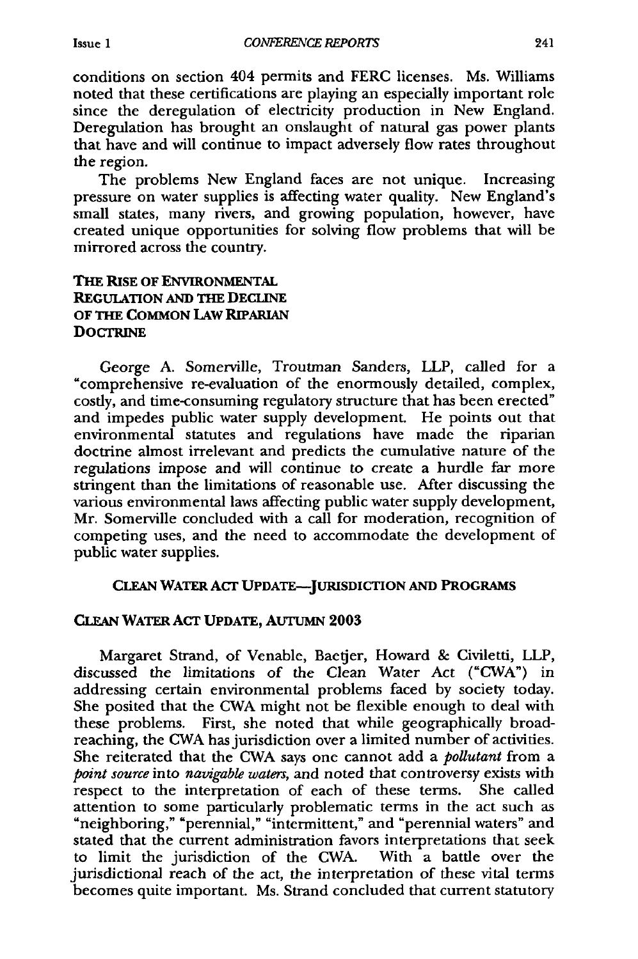conditions on section 404 permits and FERC licenses. Ms. Williams noted that these certifications are playing an especially important role since the deregulation of electricity production in New England. Deregulation has brought an onslaught of natural gas power plants that have and will continue to impact adversely flow rates throughout the region.

The problems New England faces are not unique. Increasing pressure on water supplies is affecting water quality. New England's small states, many rivers, and growing population, however, have created unique opportunities for solving flow problems that will be mirrored across the country.

# **THE** RISE **OF ENVIRONMENTAL REGULATION AND** THE **DECLINE** OF THE **COMMON** LAW RIPARIAN **DOCTRINE**

George **A.** Somerville, Troutman Sanders, LLP, called for a "comprehensive re-evaluation of the enormously detailed, complex, costly, and time-consuming regulatory structure that has been erected" and impedes public water supply development. He points out that environmental statutes and regulations have made the riparian doctrine almost irrelevant and predicts the cumulative nature of the regulations impose and will continue to create a hurdle far more stringent than the limitations of reasonable use. After discussing the various environmental laws affecting public water supply development, Mr. Somerville concluded with a call for moderation, recognition of competing uses, and the need to accommodate the development of public water supplies.

# **CLEAN** WATER ACT **UPDATE-JURISDICTION AND** PROGRAMS

#### **CLEAN** WATER ACT **UPDATE,** AUrUMN **2003**

Margaret Strand, of Venable, Baetjer, Howard & Civiletti, LLP, discussed the limitations of the Clean Water Act ("CWA") in addressing certain environmental problems faced by society today. She posited that the CWA might not be flexible enough to deal with these problems. First, she noted that while geographically broadreaching, the CWA has jurisdiction over a limited number of activities. She reiterated that the CWA says one cannot add a *pollutant* from a *point source* into *navigable waters,* and noted that controversy exists with respect to the interpretation of each of these terms. She called attention to some particularly problematic terms in the act such as "neighboring," "perennial," "intermittent," and "perennial waters" and stated that the current administration favors interpretations that seek to limit the jurisdiction of the CWA. With a battle over the jurisdictional reach of the act, the interpretation of these vital terms becomes quite important. Ms. Strand concluded that current statutory

**Issue 1**